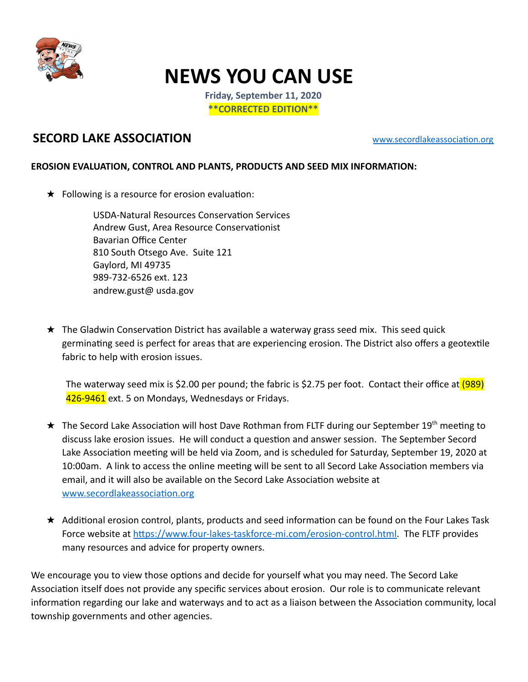

## **NEWS YOU CAN USE**

**Friday, September 11, 2020 \*\*CORRECTED EDITION\*\*** 

## **SECORD LAKE ASSOCIATION** WWW.secordlakeassociation.org

## **EROSION EVALUATION, CONTROL AND PLANTS, PRODUCTS AND SEED MIX INFORMATION:**

 $\star$  Following is a resource for erosion evaluation:

USDA-Natural Resources Conservation Services Andrew Gust, Area Resource Conservationist Bavarian Office Center 810 South Otsego Ave. Suite 121 Gaylord, MI 49735 989-732-6526 ext. 123 andrew.gust@ [usda.gov](http://usda.gov/) 

 $\star$  The Gladwin Conservation District has available a waterway grass seed mix. This seed quick germinating seed is perfect for areas that are experiencing erosion. The District also offers a geotextile fabric to help with erosion issues.

The waterway seed mix is \$2.00 per pound; the fabric is \$2.75 per foot. Contact their office at (989) 426-9461 ext. 5 on Mondays, Wednesdays or Fridays.

- $\star$  The Secord Lake Association will host Dave Rothman from FLTF during our September 19<sup>th</sup> meeting to discuss lake erosion issues. He will conduct a question and answer session. The September Secord Lake Association meeting will be held via Zoom, and is scheduled for Saturday, September 19, 2020 at 10:00am. A link to access the online meeting will be sent to all Secord Lake Association members via email, and it will also be available on the Secord Lake Association website at www.secordlakeassociation.org
- $\star$  Additional erosion control, plants, products and seed information can be found on the Four Lakes Task Force website at https://www.four-lakes-taskforce-mi.com/erosion-control.html. The FLTF provides many resources and advice for property owners.

We encourage you to view those options and decide for yourself what you may need. The Secord Lake Association itself does not provide any specific services about erosion. Our role is to communicate relevant information regarding our lake and waterways and to act as a liaison between the Association community, local township governments and other agencies.